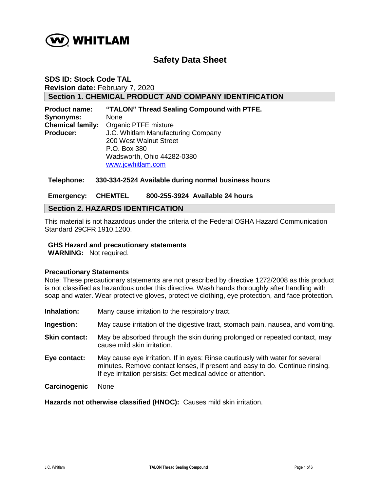

# **Safety Data Sheet**

## **SDS ID: Stock Code TAL Revision date:** February 7, 2020 **Section 1. CHEMICAL PRODUCT AND COMPANY IDENTIFICATION**

| <b>Product name:</b>    | "TALON" Thread Sealing Compound with PTFE. |
|-------------------------|--------------------------------------------|
| Synonyms:               | None                                       |
| <b>Chemical family:</b> | Organic PTFE mixture                       |
| <b>Producer:</b>        | J.C. Whitlam Manufacturing Company         |
|                         | 200 West Walnut Street                     |
|                         | P.O. Box 380                               |
|                         | Wadsworth, Ohio 44282-0380                 |
|                         | www.jcwhitlam.com                          |

#### **Telephone: 330-334-2524 Available during normal business hours**

#### **Emergency: CHEMTEL 800-255-3924 Available 24 hours**

### **Section 2. HAZARDS IDENTIFICATION**

This material is not hazardous under the criteria of the Federal OSHA Hazard Communication Standard 29CFR 1910.1200.

#### **GHS Hazard and precautionary statements**

**WARNING:** Not required.

#### **Precautionary Statements**

Note: These precautionary statements are not prescribed by directive 1272/2008 as this product is not classified as hazardous under this directive. Wash hands thoroughly after handling with soap and water. Wear protective gloves, protective clothing, eye protection, and face protection.

- **Inhalation:** Many cause irritation to the respiratory tract.
- **Ingestion:** May cause irritation of the digestive tract, stomach pain, nausea, and vomiting.
- **Skin contact:** May be absorbed through the skin during prolonged or repeated contact, may cause mild skin irritation.
- **Eye contact:** May cause eye irritation. If in eyes: Rinse cautiously with water for several minutes. Remove contact lenses, if present and easy to do. Continue rinsing. If eye irritation persists: Get medical advice or attention.
- **Carcinogenic** None

**Hazards not otherwise classified (HNOC):** Causes mild skin irritation.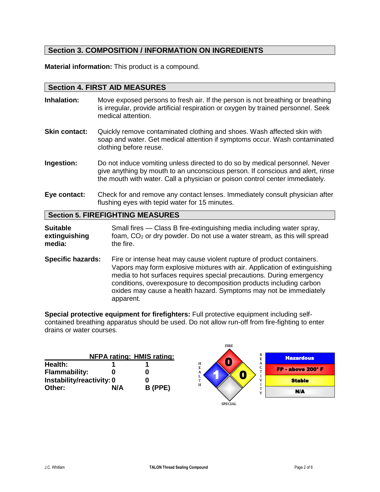# **Section 3. COMPOSITION / INFORMATION ON INGREDIENTS**

**Material information:** This product is a compound.

### **Section 4. FIRST AID MEASURES**

- **Inhalation:** Move exposed persons to fresh air. If the person is not breathing or breathing is irregular, provide artificial respiration or oxygen by trained personnel. Seek medical attention.
- **Skin contact:** Quickly remove contaminated clothing and shoes. Wash affected skin with soap and water. Get medical attention if symptoms occur. Wash contaminated clothing before reuse.
- **Ingestion:** Do not induce vomiting unless directed to do so by medical personnel. Never give anything by mouth to an unconscious person. If conscious and alert, rinse the mouth with water. Call a physician or poison control center immediately.
- **Eye contact:** Check for and remove any contact lenses. Immediately consult physician after flushing eyes with tepid water for 15 minutes.

# **Section 5. FIREFIGHTING MEASURES**

**Suitable** Small fires — Class B fire-extinguishing media including water spray,<br> **extinguishing** foam, CO<sub>2</sub> or dry powder. Do not use a water stream, as this will spre **extinguishing** foam, CO<sub>2</sub> or dry powder. Do not use a water stream, as this will spread media:<br>media: the fire. the fire.

**Specific hazards:** Fire or intense heat may cause violent rupture of product containers. Vapors may form explosive mixtures with air. Application of extinguishing media to hot surfaces requires special precautions. During emergency conditions, overexposure to decomposition products including carbon oxides may cause a health hazard. Symptoms may not be immediately apparent.

**Special protective equipment for firefighters:** Full protective equipment including selfcontained breathing apparatus should be used. Do not allow run-off from fire-fighting to enter drains or water courses.

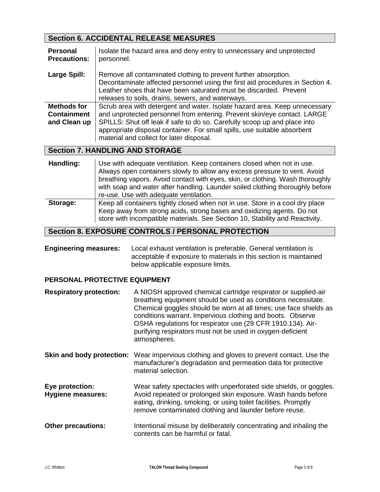# **Section 6. ACCIDENTAL RELEASE MEASURES**

| <b>Personal</b><br><b>Precautions:</b>            | Isolate the hazard area and deny entry to unnecessary and unprotected<br>personnel.                                                                                                                                                                                                                                                                         |
|---------------------------------------------------|-------------------------------------------------------------------------------------------------------------------------------------------------------------------------------------------------------------------------------------------------------------------------------------------------------------------------------------------------------------|
| Large Spill:                                      | Remove all contaminated clothing to prevent further absorption.<br>Decontaminate affected personnel using the first aid procedures in Section 4.<br>Leather shoes that have been saturated must be discarded. Prevent<br>releases to soils, drains, sewers, and waterways.                                                                                  |
| Methods for<br><b>Containment</b><br>and Clean up | Scrub area with detergent and water. Isolate hazard area. Keep unnecessary<br>and unprotected personnel from entering. Prevent skin/eye contact. LARGE<br>SPILLS: Shut off leak if safe to do so. Carefully scoop up and place into<br>appropriate disposal container. For small spills, use suitable absorbent<br>material and collect for later disposal. |

# **Section 7. HANDLING AND STORAGE**

| Handling: | Use with adequate ventilation. Keep containers closed when not in use.<br>Always open containers slowly to allow any excess pressure to vent. Avoid<br>breathing vapors. Avoid contact with eyes, skin, or clothing. Wash thoroughly<br>with soap and water after handling. Launder soiled clothing thoroughly before<br>re-use. Use with adequate ventilation. |
|-----------|-----------------------------------------------------------------------------------------------------------------------------------------------------------------------------------------------------------------------------------------------------------------------------------------------------------------------------------------------------------------|
| Storage:  | Keep all containers tightly closed when not in use. Store in a cool dry place<br>Keep away from strong acids, strong bases and oxidizing agents. Do not<br>store with incompatible materials. See Section 10, Stability and Reactivity.                                                                                                                         |

# **Section 8. EXPOSURE CONTROLS / PERSONAL PROTECTION**

**Engineering measures:** Local exhaust ventilation is preferable. General ventilation is acceptable if exposure to materials in this section is maintained below applicable exposure limits.

# **PERSONAL PROTECTIVE EQUIPMENT**

| <b>Respiratory protection:</b>              | A NIOSH approved chemical cartridge respirator or supplied-air<br>breathing equipment should be used as conditions necessitate.<br>Chemical goggles should be worn at all times; use face shields as<br>conditions warrant. Impervious clothing and boots. Observe<br>OSHA regulations for respirator use (29 CFR 1910.134). Air-<br>purifying respirators must not be used in oxygen-deficient<br>atmospheres. |
|---------------------------------------------|-----------------------------------------------------------------------------------------------------------------------------------------------------------------------------------------------------------------------------------------------------------------------------------------------------------------------------------------------------------------------------------------------------------------|
| Skin and body protection:                   | Wear impervious clothing and gloves to prevent contact. Use the<br>manufacturer's degradation and permeation data for protective<br>material selection.                                                                                                                                                                                                                                                         |
| Eye protection:<br><b>Hygiene measures:</b> | Wear safety spectacles with unperforated side shields, or goggles.<br>Avoid repeated or prolonged skin exposure. Wash hands before<br>eating, drinking, smoking, or using toilet facilities. Promptly<br>remove contaminated clothing and launder before reuse.                                                                                                                                                 |
| <b>Other precautions:</b>                   | Intentional misuse by deliberately concentrating and inhaling the<br>contents can be harmful or fatal.                                                                                                                                                                                                                                                                                                          |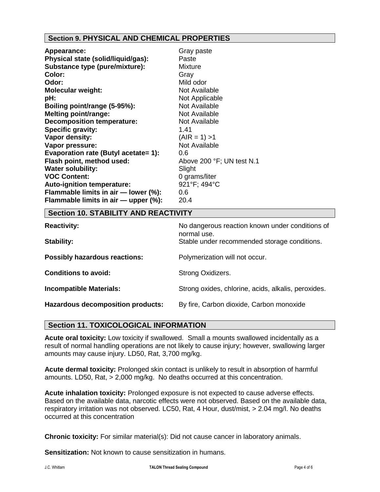# **Section 9. PHYSICAL AND CHEMICAL PROPERTIES**

| Appearance:                          | Gray paste                |
|--------------------------------------|---------------------------|
| Physical state (solid/liquid/gas):   | Paste                     |
| Substance type (pure/mixture):       | <b>Mixture</b>            |
| <b>Color:</b>                        | Gray                      |
| Odor:                                | Mild odor                 |
| <b>Molecular weight:</b>             | Not Available             |
| pH:                                  | Not Applicable            |
| Boiling point/range (5-95%):         | Not Available             |
| <b>Melting point/range:</b>          | Not Available             |
| <b>Decomposition temperature:</b>    | Not Available             |
| Specific gravity:                    | 1.41                      |
| Vapor density:                       | $(AIR = 1) > 1$           |
| Vapor pressure:                      | Not Available             |
| Evaporation rate (Butyl acetate= 1): | 0.6                       |
| Flash point, method used:            | Above 200 °F; UN test N.1 |
| <b>Water solubility:</b>             | Slight                    |
| <b>VOC Content:</b>                  | 0 grams/liter             |
| Auto-ignition temperature:           | 921°F; 494°C              |
| Flammable limits in air - lower (%): | 0.6                       |
| Flammable limits in air - upper (%): | 20.4                      |

# **Section 10. STABILITY AND REACTIVITY**

| <b>Reactivity:</b>                       | No dangerous reaction known under conditions of<br>normal use.<br>Stable under recommended storage conditions. |  |
|------------------------------------------|----------------------------------------------------------------------------------------------------------------|--|
| Stability:                               |                                                                                                                |  |
| <b>Possibly hazardous reactions:</b>     | Polymerization will not occur.                                                                                 |  |
| <b>Conditions to avoid:</b>              | Strong Oxidizers.                                                                                              |  |
| <b>Incompatible Materials:</b>           | Strong oxides, chlorine, acids, alkalis, peroxides.                                                            |  |
| <b>Hazardous decomposition products:</b> | By fire, Carbon dioxide, Carbon monoxide                                                                       |  |

### **Section 11. TOXICOLOGICAL INFORMATION**

**Acute oral toxicity:** Low toxicity if swallowed. Small a mounts swallowed incidentally as a result of normal handling operations are not likely to cause injury; however, swallowing larger amounts may cause injury. LD50, Rat, 3,700 mg/kg.

**Acute dermal toxicity:** Prolonged skin contact is unlikely to result in absorption of harmful amounts. LD50, Rat, > 2,000 mg/kg. No deaths occurred at this concentration.

**Acute inhalation toxicity:** Prolonged exposure is not expected to cause adverse effects. Based on the available data, narcotic effects were not observed. Based on the available data, respiratory irritation was not observed. LC50, Rat, 4 Hour, dust/mist, > 2.04 mg/l. No deaths occurred at this concentration

**Chronic toxicity:** For similar material(s): Did not cause cancer in laboratory animals.

**Sensitization:** Not known to cause sensitization in humans.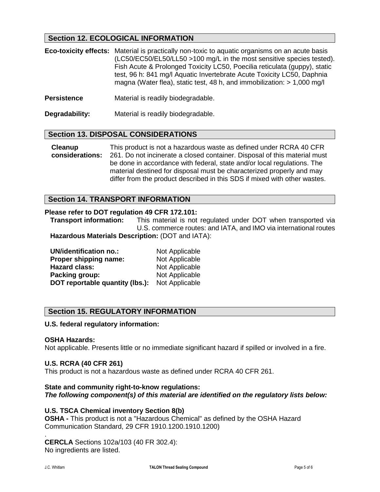# **Section 12. ECOLOGICAL INFORMATION**

| <b>Eco-toxicity effects:</b> Material is practically non-toxic to aquatic organisms on an acute basis |
|-------------------------------------------------------------------------------------------------------|
| (LC50/EC50/EL50/LL50 >100 mg/L in the most sensitive species tested).                                 |
| Fish Acute & Prolonged Toxicity LC50, Poecilia reticulata (quppy), static                             |
| test, 96 h: 841 mg/l Aquatic Invertebrate Acute Toxicity LC50, Daphnia                                |
| magna (Water flea), static test, 48 h, and immobilization: $> 1,000$ mg/l                             |

**Persistence** Material is readily biodegradable.

**Degradability:** Material is readily biodegradable.

### **Section 13. DISPOSAL CONSIDERATIONS**

**Cleanup considerations:** This product is not a hazardous waste as defined under RCRA 40 CFR 261. Do not incinerate a closed container. Disposal of this material must be done in accordance with federal, state and/or local regulations. The material destined for disposal must be characterized properly and may differ from the product described in this SDS if mixed with other wastes.

### **Section 14. TRANSPORT INFORMATION**

#### **Please refer to DOT regulation 49 CFR 172.101:**

**Transport information:** This material is not regulated under DOT when transported via U.S. commerce routes: and IATA, and IMO via international routes **Hazardous Materials Description:** (DOT and IATA):

| <b>UN/identification no.:</b>   | Not Applicable |
|---------------------------------|----------------|
| Proper shipping name:           | Not Applicable |
| <b>Hazard class:</b>            | Not Applicable |
| Packing group:                  | Not Applicable |
| DOT reportable quantity (lbs.): | Not Applicable |

### **Section 15. REGULATORY INFORMATION**

#### **U.S. federal regulatory information:**

#### **OSHA Hazards:**

Not applicable. Presents little or no immediate significant hazard if spilled or involved in a fire.

#### **U.S. RCRA (40 CFR 261)**

This product is not a hazardous waste as defined under RCRA 40 CFR 261.

# **State and community right-to-know regulations:**

*The following component(s) of this material are identified on the regulatory lists below:*

### **U.S. TSCA Chemical inventory Section 8(b)**

**OSHA -** This product is not a "Hazardous Chemical" as defined by the OSHA Hazard Communication Standard, 29 CFR 1910.1200.1910.1200)

**CERCLA** Sections 102a/103 (40 FR 302.4): No ingredients are listed.

.